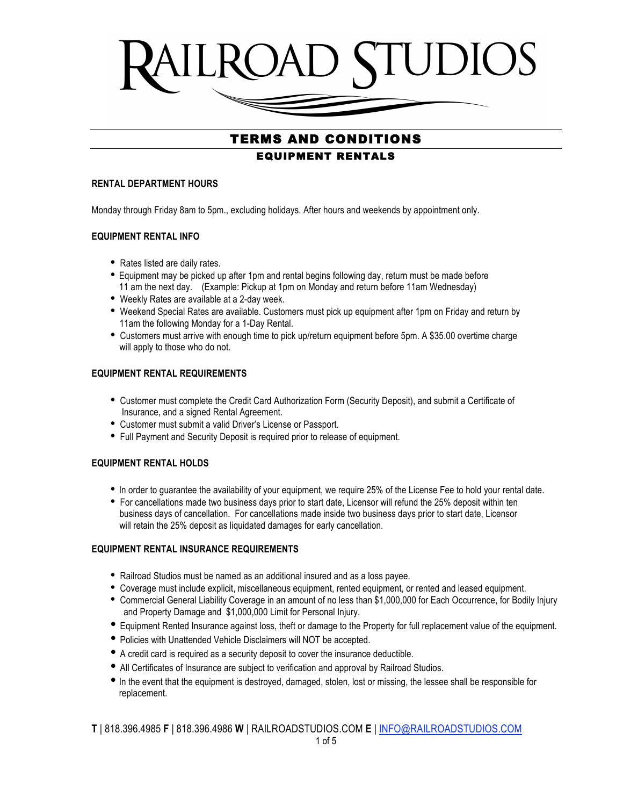

## TERMS AND CONDITIONS EQUIPMENT RENTALS

 $\overline{a}$ 

#### **RENTAL DEPARTMENT HOURS**

Monday through Friday 8am to 5pm., excluding holidays. After hours and weekends by appointment only.

## **EQUIPMENT RENTAL INFO**

- Rates listed are daily rates.
- Equipment may be picked up after 1pm and rental begins following day, return must be made before 11 am the next day. (Example: Pickup at 1pm on Monday and return before 11am Wednesday)
- Weekly Rates are available at a 2-day week.
- Weekend Special Rates are available. Customers must pick up equipment after 1pm on Friday and return by 11am the following Monday for a 1-Day Rental.
- Customers must arrive with enough time to pick up/return equipment before 5pm. A \$35.00 overtime charge will apply to those who do not.

## **EQUIPMENT RENTAL REQUIREMENTS**

- Customer must complete the Credit Card Authorization Form (Security Deposit), and submit a Certificate of Insurance, and a signed Rental Agreement.
- Customer must submit a valid Driver's License or Passport.
- Full Payment and Security Deposit is required prior to release of equipment.

## **EQUIPMENT RENTAL HOLDS**

- In order to guarantee the availability of your equipment, we require 25% of the License Fee to hold your rental date.
- For cancellations made two business days prior to start date, Licensor will refund the 25% deposit within ten business days of cancellation. For cancellations made inside two business days prior to start date, Licensor will retain the 25% deposit as liquidated damages for early cancellation.

## **EQUIPMENT RENTAL INSURANCE REQUIREMENTS**

- Railroad Studios must be named as an additional insured and as a loss payee.
- Coverage must include explicit, miscellaneous equipment, rented equipment, or rented and leased equipment.
- Commercial General Liability Coverage in an amount of no less than \$1,000,000 for Each Occurrence, for Bodily Injury and Property Damage and \$1,000,000 Limit for Personal Injury.
- Equipment Rented Insurance against loss, theft or damage to the Property for full replacement value of the equipment.
- Policies with Unattended Vehicle Disclaimers will NOT be accepted.
- A credit card is required as a security deposit to cover the insurance deductible.
- All Certificates of Insurance are subject to verification and approval by Railroad Studios.
- In the event that the equipment is destroyed, damaged, stolen, lost or missing, the lessee shall be responsible for replacement.

**T** | 818.396.4985 **F** | 818.396.4986 **W** | RAILROADSTUDIOS.COM **E** | INFO@RAILROADSTUDIOS.COM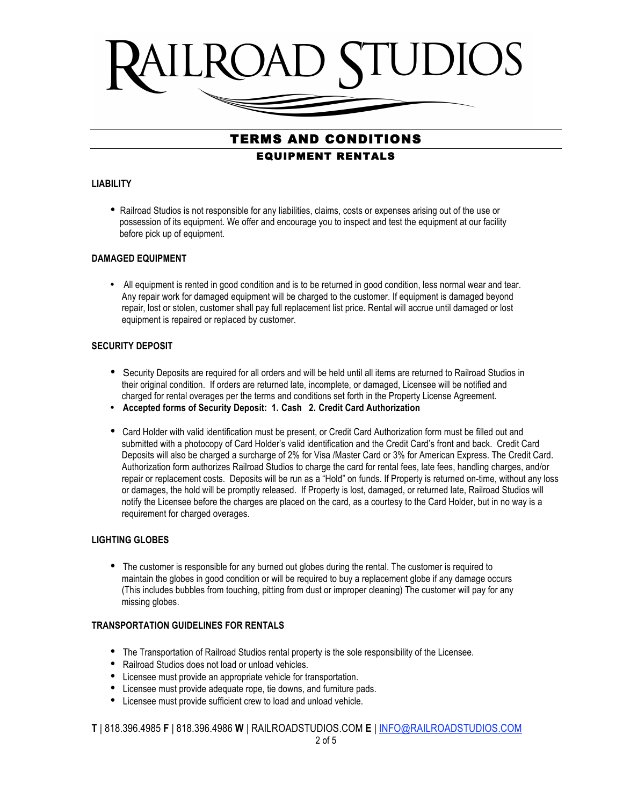

## TERMS AND CONDITIONS EQUIPMENT RENTALS

#### **LIABILITY**

• Railroad Studios is not responsible for any liabilities, claims, costs or expenses arising out of the use or possession of its equipment. We offer and encourage you to inspect and test the equipment at our facility before pick up of equipment.

#### **DAMAGED EQUIPMENT**

• All equipment is rented in good condition and is to be returned in good condition, less normal wear and tear. Any repair work for damaged equipment will be charged to the customer. If equipment is damaged beyond repair, lost or stolen, customer shall pay full replacement list price. Rental will accrue until damaged or lost equipment is repaired or replaced by customer.

#### **SECURITY DEPOSIT**

- Security Deposits are required for all orders and will be held until all items are returned to Railroad Studios in their original condition. If orders are returned late, incomplete, or damaged, Licensee will be notified and charged for rental overages per the terms and conditions set forth in the Property License Agreement.
- **Accepted forms of Security Deposit: 1. Cash 2. Credit Card Authorization**
- Card Holder with valid identification must be present, or Credit Card Authorization form must be filled out and submitted with a photocopy of Card Holder's valid identification and the Credit Card's front and back. Credit Card Deposits will also be charged a surcharge of 2% for Visa /Master Card or 3% for American Express. The Credit Card. Authorization form authorizes Railroad Studios to charge the card for rental fees, late fees, handling charges, and/or repair or replacement costs. Deposits will be run as a "Hold" on funds. If Property is returned on-time, without any loss or damages, the hold will be promptly released. If Property is lost, damaged, or returned late, Railroad Studios will notify the Licensee before the charges are placed on the card, as a courtesy to the Card Holder, but in no way is a requirement for charged overages.

## **LIGHTING GLOBES**

• The customer is responsible for any burned out globes during the rental. The customer is required to maintain the globes in good condition or will be required to buy a replacement globe if any damage occurs (This includes bubbles from touching, pitting from dust or improper cleaning) The customer will pay for any missing globes.

#### **TRANSPORTATION GUIDELINES FOR RENTALS**

- The Transportation of Railroad Studios rental property is the sole responsibility of the Licensee.
- Railroad Studios does not load or unload vehicles.
- Licensee must provide an appropriate vehicle for transportation.
- Licensee must provide adequate rope, tie downs, and furniture pads.
- Licensee must provide sufficient crew to load and unload vehicle.

**T** | 818.396.4985 **F** | 818.396.4986 **W** | RAILROADSTUDIOS.COM **E** | INFO@RAILROADSTUDIOS.COM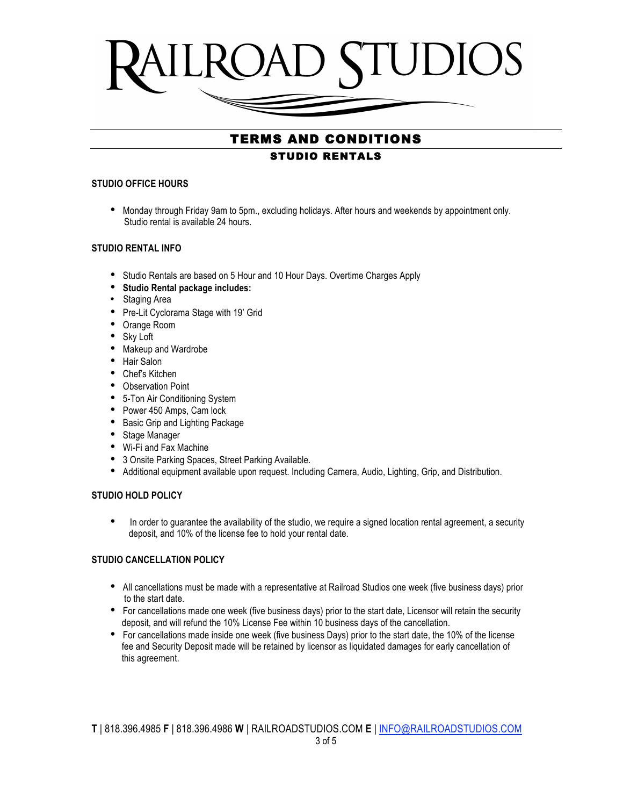

## TERMS AND CONDITIONS STUDIO RENTALS

#### **STUDIO OFFICE HOURS**

• Monday through Friday 9am to 5pm., excluding holidays. After hours and weekends by appointment only. Studio rental is available 24 hours.

## **STUDIO RENTAL INFO**

- Studio Rentals are based on 5 Hour and 10 Hour Days. Overtime Charges Apply
- **Studio Rental package includes:**
- Staging Area
- Pre-Lit Cyclorama Stage with 19' Grid
- Orange Room
- Sky Loft
- Makeup and Wardrobe
- Hair Salon
- Chef's Kitchen
- Observation Point
- 5-Ton Air Conditioning System
- Power 450 Amps, Cam lock
- Basic Grip and Lighting Package
- Stage Manager
- Wi-Fi and Fax Machine
- 3 Onsite Parking Spaces, Street Parking Available.
- Additional equipment available upon request. Including Camera, Audio, Lighting, Grip, and Distribution.

## **STUDIO HOLD POLICY**

• In order to guarantee the availability of the studio, we require a signed location rental agreement, a security deposit, and 10% of the license fee to hold your rental date.

## **STUDIO CANCELLATION POLICY**

- All cancellations must be made with a representative at Railroad Studios one week (five business days) prior to the start date.
- For cancellations made one week (five business days) prior to the start date, Licensor will retain the security deposit, and will refund the 10% License Fee within 10 business days of the cancellation.
- For cancellations made inside one week (five business Days) prior to the start date, the 10% of the license fee and Security Deposit made will be retained by licensor as liquidated damages for early cancellation of this agreement.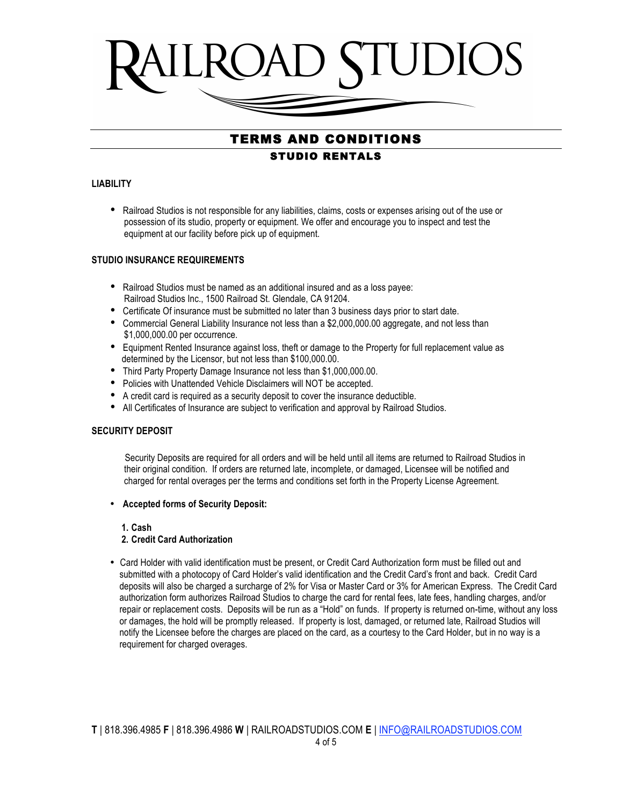

# TERMS AND CONDITIONS STUDIO RENTALS

#### **LIABILITY**

• Railroad Studios is not responsible for any liabilities, claims, costs or expenses arising out of the use or possession of its studio, property or equipment. We offer and encourage you to inspect and test the equipment at our facility before pick up of equipment.

## **STUDIO INSURANCE REQUIREMENTS**

- Railroad Studios must be named as an additional insured and as a loss payee: Railroad Studios Inc., 1500 Railroad St. Glendale, CA 91204.
- Certificate Of insurance must be submitted no later than 3 business days prior to start date.
- Commercial General Liability Insurance not less than a \$2,000,000.00 aggregate, and not less than \$1,000,000.00 per occurrence.
- Equipment Rented Insurance against loss, theft or damage to the Property for full replacement value as determined by the Licensor, but not less than \$100,000.00.
- Third Party Property Damage Insurance not less than \$1,000,000.00.
- Policies with Unattended Vehicle Disclaimers will NOT be accepted.
- A credit card is required as a security deposit to cover the insurance deductible.
- All Certificates of Insurance are subject to verification and approval by Railroad Studios.

## **SECURITY DEPOSIT**

 Security Deposits are required for all orders and will be held until all items are returned to Railroad Studios in their original condition. If orders are returned late, incomplete, or damaged, Licensee will be notified and charged for rental overages per the terms and conditions set forth in the Property License Agreement.

• **Accepted forms of Security Deposit:** 

 **1. Cash** 

## **2. Credit Card Authorization**

• Card Holder with valid identification must be present, or Credit Card Authorization form must be filled out and submitted with a photocopy of Card Holder's valid identification and the Credit Card's front and back. Credit Card deposits will also be charged a surcharge of 2% for Visa or Master Card or 3% for American Express. The Credit Card authorization form authorizes Railroad Studios to charge the card for rental fees, late fees, handling charges, and/or repair or replacement costs. Deposits will be run as a "Hold" on funds. If property is returned on-time, without any loss or damages, the hold will be promptly released. If property is lost, damaged, or returned late, Railroad Studios will notify the Licensee before the charges are placed on the card, as a courtesy to the Card Holder, but in no way is a requirement for charged overages.